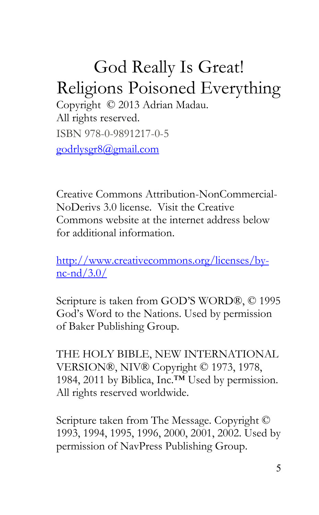# God Really Is Great! Religions Poisoned Everything

Copyright © 2013 Adrian Madau. All rights reserved. ISBN 978-0-9891217-0-5 [godrlysgr8@gmail.com](mailto:godrlysgr8@gmail.com)

Creative Commons Attribution-NonCommercial-NoDerivs 3.0 license. Visit the Creative Commons website at the internet address below for additional information.

[http://www.creativecommons.org/licenses/by](http://www.creativecommons.org/licenses/by-nc-nd/3.0/) $nc-nd/3.0/$ 

Scripture is taken from GOD'S WORD®, © 1995 God's Word to the Nations. Used by permission of Baker Publishing Group.

THE HOLY BIBLE, NEW INTERNATIONAL VERSION®, NIV® Copyright © 1973, 1978, 1984, 2011 by Biblica, Inc.™ Used by permission. All rights reserved worldwide.

Scripture taken from The Message. Copyright © 1993, 1994, 1995, 1996, 2000, 2001, 2002. Used by permission of NavPress Publishing Group.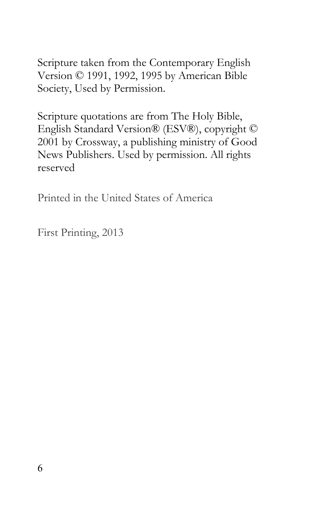Scripture taken from the Contemporary English Version © 1991, 1992, 1995 by American Bible Society, Used by Permission.

Scripture quotations are from The Holy Bible, English Standard Version® (ESV®), copyright © 2001 by Crossway, a publishing ministry of Good News Publishers. Used by permission. All rights reserved

Printed in the United States of America

First Printing, 2013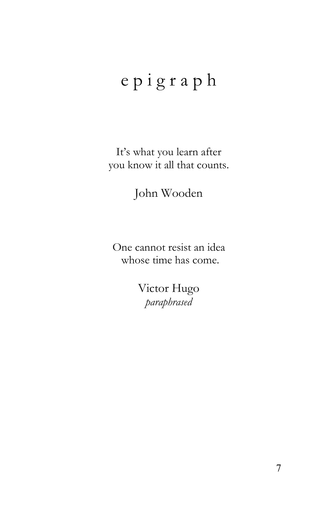## e p i g r a p h

It's what you learn after you know it all that counts.

John Wooden

One cannot resist an idea whose time has come.

> Victor Hugo *paraphrased*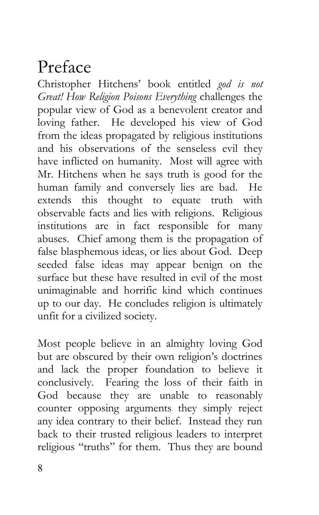## Preface

Christopher Hitchens' book entitled *god is not Great! How Religion Poisons Everything* challenges the popular view of God as a benevolent creator and loving father. He developed his view of God from the ideas propagated by religious institutions and his observations of the senseless evil they have inflicted on humanity. Most will agree with Mr. Hitchens when he says truth is good for the human family and conversely lies are bad. He extends this thought to equate truth with observable facts and lies with religions. Religious institutions are in fact responsible for many abuses. Chief among them is the propagation of false blasphemous ideas, or lies about God. Deep seeded false ideas may appear benign on the surface but these have resulted in evil of the most unimaginable and horrific kind which continues up to our day. He concludes religion is ultimately unfit for a civilized society.

Most people believe in an almighty loving God but are obscured by their own religion's doctrines and lack the proper foundation to believe it conclusively. Fearing the loss of their faith in God because they are unable to reasonably counter opposing arguments they simply reject any idea contrary to their belief. Instead they run back to their trusted religious leaders to interpret religious "truths" for them. Thus they are bound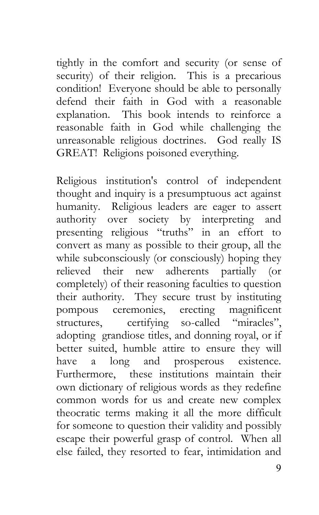tightly in the comfort and security (or sense of security) of their religion. This is a precarious condition! Everyone should be able to personally defend their faith in God with a reasonable explanation. This book intends to reinforce a reasonable faith in God while challenging the unreasonable religious doctrines. God really IS GREAT! Religions poisoned everything.

Religious institution's control of independent thought and inquiry is a presumptuous act against humanity. Religious leaders are eager to assert authority over society by interpreting and presenting religious "truths" in an effort to convert as many as possible to their group, all the while subconsciously (or consciously) hoping they relieved their new adherents partially (or completely) of their reasoning faculties to question their authority. They secure trust by instituting pompous ceremonies, erecting magnificent structures, certifying so-called "miracles", adopting grandiose titles, and donning royal, or if better suited, humble attire to ensure they will have a long and prosperous existence. Furthermore, these institutions maintain their own dictionary of religious words as they redefine common words for us and create new complex theocratic terms making it all the more difficult for someone to question their validity and possibly escape their powerful grasp of control. When all else failed, they resorted to fear, intimidation and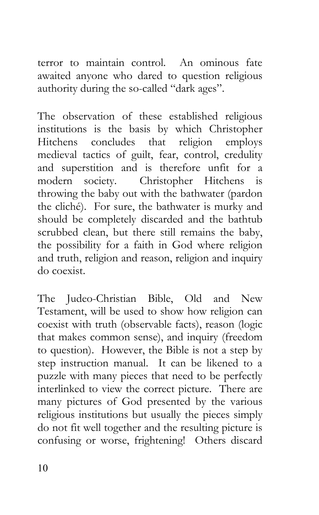terror to maintain control. An ominous fate awaited anyone who dared to question religious authority during the so-called "dark ages".

The observation of these established religious institutions is the basis by which Christopher Hitchens concludes that religion employs medieval tactics of guilt, fear, control, credulity and superstition and is therefore unfit for a modern society. Christopher Hitchens is throwing the baby out with the bathwater (pardon the cliché). For sure, the bathwater is murky and should be completely discarded and the bathtub scrubbed clean, but there still remains the baby, the possibility for a faith in God where religion and truth, religion and reason, religion and inquiry do coexist.

The Judeo-Christian Bible, Old and New Testament, will be used to show how religion can coexist with truth (observable facts), reason (logic that makes common sense), and inquiry (freedom to question). However, the Bible is not a step by step instruction manual. It can be likened to a puzzle with many pieces that need to be perfectly interlinked to view the correct picture. There are many pictures of God presented by the various religious institutions but usually the pieces simply do not fit well together and the resulting picture is confusing or worse, frightening! Others discard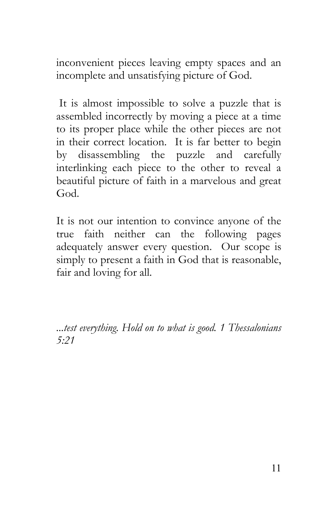inconvenient pieces leaving empty spaces and an incomplete and unsatisfying picture of God.

It is almost impossible to solve a puzzle that is assembled incorrectly by moving a piece at a time to its proper place while the other pieces are not in their correct location. It is far better to begin by disassembling the puzzle and carefully interlinking each piece to the other to reveal a beautiful picture of faith in a marvelous and great God.

It is not our intention to convince anyone of the true faith neither can the following pages adequately answer every question. Our scope is simply to present a faith in God that is reasonable, fair and loving for all.

*...test everything. Hold on to what is good. 1 Thessalonians 5:21*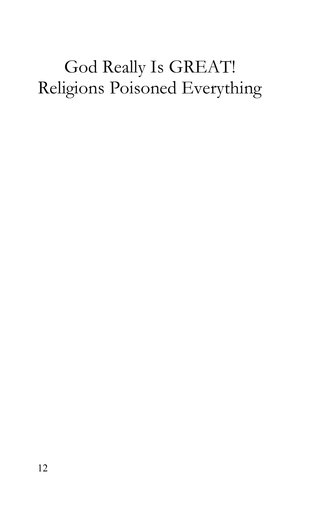# God Really Is GREAT! Religions Poisoned Everything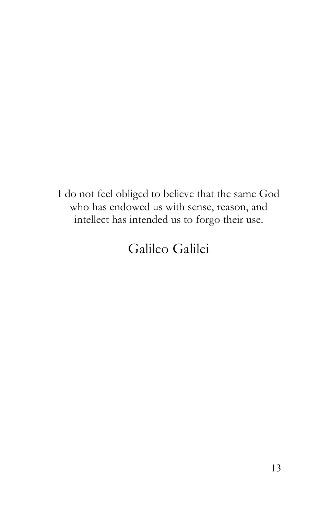I do not feel obliged to believe that the same God who has endowed us with sense, reason, and intellect has intended us to forgo their use.

### Galileo Galilei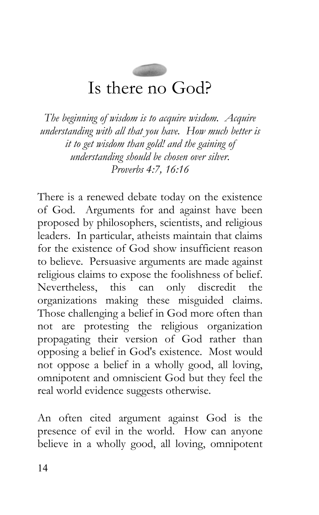# Is there no God?

*The beginning of wisdom is to acquire wisdom. Acquire understanding with all that you have. How much better is it to get wisdom than gold! and the gaining of understanding should be chosen over silver. Proverbs 4:7, 16:16*

There is a renewed debate today on the existence of God. Arguments for and against have been proposed by philosophers, scientists, and religious leaders. In particular, atheists maintain that claims for the existence of God show insufficient reason to believe. Persuasive arguments are made against religious claims to expose the foolishness of belief. Nevertheless, this can only discredit the organizations making these misguided claims. Those challenging a belief in God more often than not are protesting the religious organization propagating their version of God rather than opposing a belief in God's existence. Most would not oppose a belief in a wholly good, all loving, omnipotent and omniscient God but they feel the real world evidence suggests otherwise.

An often cited argument against God is the presence of evil in the world. How can anyone believe in a wholly good, all loving, omnipotent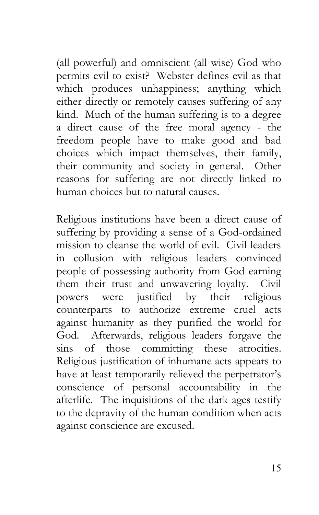(all powerful) and omniscient (all wise) God who permits evil to exist? Webster defines evil as that which produces unhappiness; anything which either directly or remotely causes suffering of any kind. Much of the human suffering is to a degree a direct cause of the free moral agency - the freedom people have to make good and bad choices which impact themselves, their family, their community and society in general. Other reasons for suffering are not directly linked to human choices but to natural causes.

Religious institutions have been a direct cause of suffering by providing a sense of a God-ordained mission to cleanse the world of evil. Civil leaders in collusion with religious leaders convinced people of possessing authority from God earning them their trust and unwavering loyalty. Civil powers were justified by their religious counterparts to authorize extreme cruel acts against humanity as they purified the world for God. Afterwards, religious leaders forgave the sins of those committing these atrocities. Religious justification of inhumane acts appears to have at least temporarily relieved the perpetrator's conscience of personal accountability in the afterlife. The inquisitions of the dark ages testify to the depravity of the human condition when acts against conscience are excused.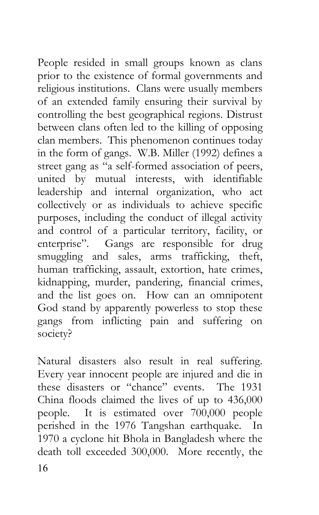People resided in small groups known as clans prior to the existence of formal governments and religious institutions. Clans were usually members of an extended family ensuring their survival by controlling the best geographical regions. Distrust between clans often led to the killing of opposing clan members. This phenomenon continues today in the form of gangs. W.B. Miller (1992) defines a street gang as "a self-formed association of peers, united by mutual interests, with identifiable leadership and internal organization, who act collectively or as individuals to achieve specific purposes, including the conduct of illegal activity and control of a particular territory, facility, or enterprise". Gangs are responsible for drug smuggling and sales, arms trafficking, theft, human trafficking, assault, extortion, hate crimes, kidnapping, murder, pandering, financial crimes, and the list goes on. How can an omnipotent God stand by apparently powerless to stop these gangs from inflicting pain and suffering on society?

Natural disasters also result in real suffering. Every year innocent people are injured and die in these disasters or "chance" events. The 1931 China floods claimed the lives of up to 436,000 people. It is estimated over 700,000 people perished in the 1976 Tangshan earthquake. In 1970 a cyclone hit Bhola in Bangladesh where the death toll exceeded 300,000. More recently, the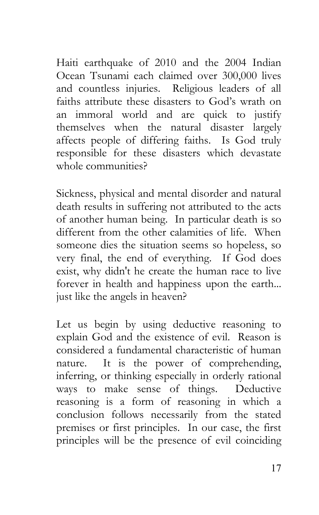Haiti earthquake of 2010 and the 2004 Indian Ocean Tsunami each claimed over 300,000 lives and countless injuries. Religious leaders of all faiths attribute these disasters to God's wrath on an immoral world and are quick to justify themselves when the natural disaster largely affects people of differing faiths. Is God truly responsible for these disasters which devastate whole communities?

Sickness, physical and mental disorder and natural death results in suffering not attributed to the acts of another human being. In particular death is so different from the other calamities of life. When someone dies the situation seems so hopeless, so very final, the end of everything. If God does exist, why didn't he create the human race to live forever in health and happiness upon the earth... just like the angels in heaven?

Let us begin by using deductive reasoning to explain God and the existence of evil. Reason is considered a fundamental characteristic of human nature. It is the power of comprehending, inferring, or thinking especially in orderly rational ways to make sense of things. Deductive reasoning is a form of reasoning in which a conclusion follows necessarily from the stated premises or first principles. In our case, the first principles will be the presence of evil coinciding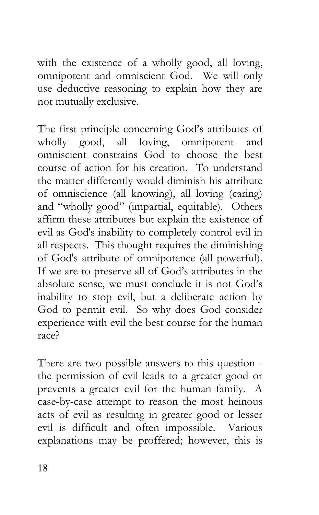with the existence of a wholly good, all loving, omnipotent and omniscient God. We will only use deductive reasoning to explain how they are not mutually exclusive.

The first principle concerning God's attributes of wholly good, all loving, omnipotent and omniscient constrains God to choose the best course of action for his creation. To understand the matter differently would diminish his attribute of omniscience (all knowing), all loving (caring) and "wholly good" (impartial, equitable). Others affirm these attributes but explain the existence of evil as God's inability to completely control evil in all respects. This thought requires the diminishing of God's attribute of omnipotence (all powerful). If we are to preserve all of God's attributes in the absolute sense, we must conclude it is not God's inability to stop evil, but a deliberate action by God to permit evil. So why does God consider experience with evil the best course for the human race?

There are two possible answers to this question the permission of evil leads to a greater good or prevents a greater evil for the human family. A case-by-case attempt to reason the most heinous acts of evil as resulting in greater good or lesser evil is difficult and often impossible. Various explanations may be proffered; however, this is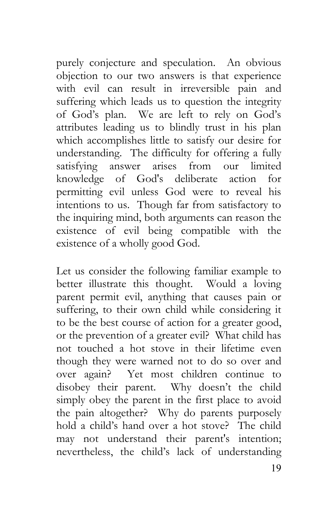purely conjecture and speculation. An obvious objection to our two answers is that experience with evil can result in irreversible pain and suffering which leads us to question the integrity of God's plan. We are left to rely on God's attributes leading us to blindly trust in his plan which accomplishes little to satisfy our desire for understanding. The difficulty for offering a fully<br>satisfying answer arises from our limited satisfying answer arises from our limited knowledge of God's deliberate action for permitting evil unless God were to reveal his intentions to us. Though far from satisfactory to the inquiring mind, both arguments can reason the existence of evil being compatible with the existence of a wholly good God.

Let us consider the following familiar example to better illustrate this thought. Would a loving parent permit evil, anything that causes pain or suffering, to their own child while considering it to be the best course of action for a greater good, or the prevention of a greater evil? What child has not touched a hot stove in their lifetime even though they were warned not to do so over and over again? Yet most children continue to disobey their parent. Why doesn't the child simply obey the parent in the first place to avoid the pain altogether? Why do parents purposely hold a child's hand over a hot stove? The child may not understand their parent's intention; nevertheless, the child's lack of understanding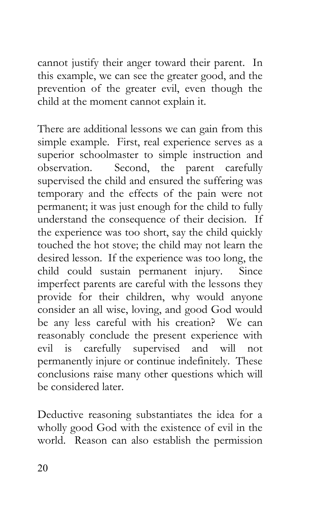cannot justify their anger toward their parent. In this example, we can see the greater good, and the prevention of the greater evil, even though the child at the moment cannot explain it.

There are additional lessons we can gain from this simple example. First, real experience serves as a superior schoolmaster to simple instruction and observation. Second, the parent carefully supervised the child and ensured the suffering was temporary and the effects of the pain were not permanent; it was just enough for the child to fully understand the consequence of their decision. If the experience was too short, say the child quickly touched the hot stove; the child may not learn the desired lesson. If the experience was too long, the child could sustain permanent injury. Since imperfect parents are careful with the lessons they provide for their children, why would anyone consider an all wise, loving, and good God would be any less careful with his creation? We can reasonably conclude the present experience with evil is carefully supervised and will not permanently injure or continue indefinitely. These conclusions raise many other questions which will be considered later.

Deductive reasoning substantiates the idea for a wholly good God with the existence of evil in the world. Reason can also establish the permission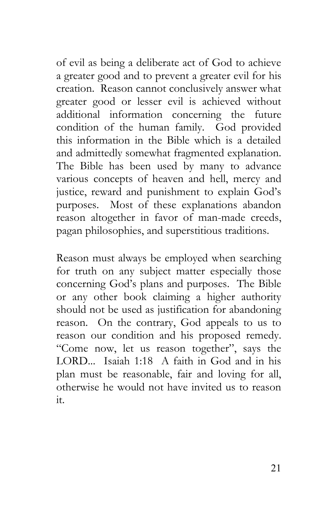of evil as being a deliberate act of God to achieve a greater good and to prevent a greater evil for his creation. Reason cannot conclusively answer what greater good or lesser evil is achieved without additional information concerning the future condition of the human family. God provided this information in the Bible which is a detailed and admittedly somewhat fragmented explanation. The Bible has been used by many to advance various concepts of heaven and hell, mercy and justice, reward and punishment to explain God's purposes. Most of these explanations abandon reason altogether in favor of man-made creeds, pagan philosophies, and superstitious traditions.

Reason must always be employed when searching for truth on any subject matter especially those concerning God's plans and purposes. The Bible or any other book claiming a higher authority should not be used as justification for abandoning reason. On the contrary, God appeals to us to reason our condition and his proposed remedy. "Come now, let us reason together", says the LORD... Isaiah 1:18 A faith in God and in his plan must be reasonable, fair and loving for all, otherwise he would not have invited us to reason it.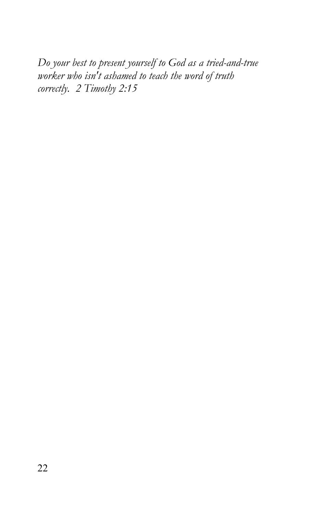*Do your best to present yourself to God as a tried-and-true worker who isn't ashamed to teach the word of truth correctly. 2 Timothy 2:15*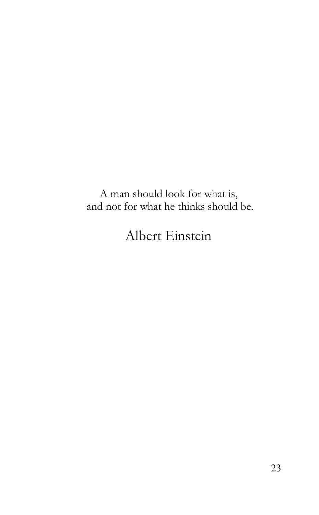A man should look for what is, and not for what he thinks should be.

### Albert Einstein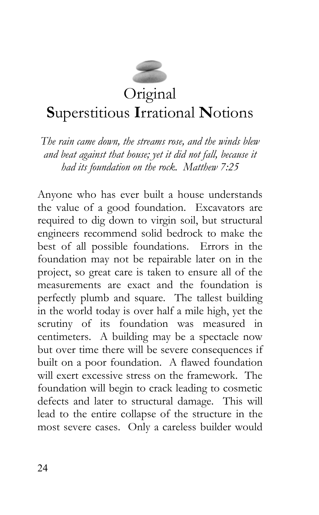

# Original **S**uperstitious **I**rrational **N**otions

*The rain came down, the streams rose, and the winds blew and beat against that house; yet it did not fall, because it had its foundation on the rock. Matthew 7:25*

Anyone who has ever built a house understands the value of a good foundation. Excavators are required to dig down to virgin soil, but structural engineers recommend solid bedrock to make the best of all possible foundations. Errors in the foundation may not be repairable later on in the project, so great care is taken to ensure all of the measurements are exact and the foundation is perfectly plumb and square. The tallest building in the world today is over half a mile high, yet the scrutiny of its foundation was measured in centimeters. A building may be a spectacle now but over time there will be severe consequences if built on a poor foundation. A flawed foundation will exert excessive stress on the framework. The foundation will begin to crack leading to cosmetic defects and later to structural damage. This will lead to the entire collapse of the structure in the most severe cases. Only a careless builder would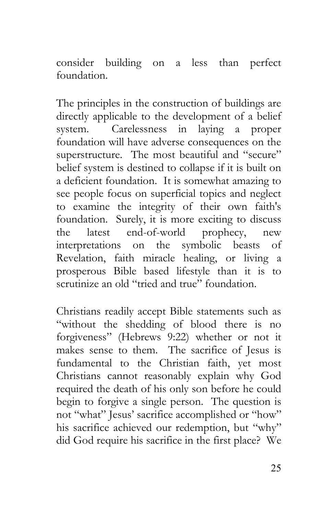consider building on a less than perfect foundation.

The principles in the construction of buildings are directly applicable to the development of a belief system. Carelessness in laying a proper foundation will have adverse consequences on the superstructure. The most beautiful and "secure" belief system is destined to collapse if it is built on a deficient foundation. It is somewhat amazing to see people focus on superficial topics and neglect to examine the integrity of their own faith's foundation. Surely, it is more exciting to discuss the latest end-of-world prophecy, new interpretations on the symbolic beasts of Revelation, faith miracle healing, or living a prosperous Bible based lifestyle than it is to scrutinize an old "tried and true" foundation.

Christians readily accept Bible statements such as "without the shedding of blood there is no forgiveness" (Hebrews 9:22) whether or not it makes sense to them. The sacrifice of Jesus is fundamental to the Christian faith, yet most Christians cannot reasonably explain why God required the death of his only son before he could begin to forgive a single person. The question is not "what" Jesus' sacrifice accomplished or "how" his sacrifice achieved our redemption, but "why" did God require his sacrifice in the first place? We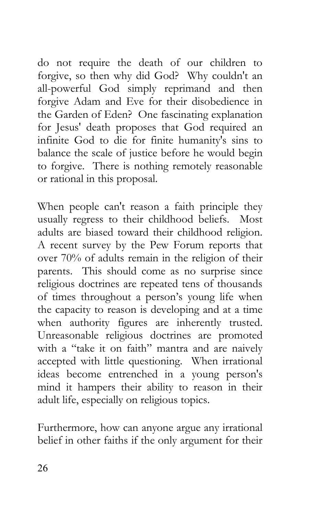do not require the death of our children to forgive, so then why did God? Why couldn't an all-powerful God simply reprimand and then forgive Adam and Eve for their disobedience in the Garden of Eden? One fascinating explanation for Jesus' death proposes that God required an infinite God to die for finite humanity's sins to balance the scale of justice before he would begin to forgive. There is nothing remotely reasonable or rational in this proposal.

When people can't reason a faith principle they usually regress to their childhood beliefs. Most adults are biased toward their childhood religion. A recent survey by the Pew Forum reports that over 70% of adults remain in the religion of their parents. This should come as no surprise since religious doctrines are repeated tens of thousands of times throughout a person's young life when the capacity to reason is developing and at a time when authority figures are inherently trusted. Unreasonable religious doctrines are promoted with a "take it on faith" mantra and are naively accepted with little questioning. When irrational ideas become entrenched in a young person's mind it hampers their ability to reason in their adult life, especially on religious topics.

Furthermore, how can anyone argue any irrational belief in other faiths if the only argument for their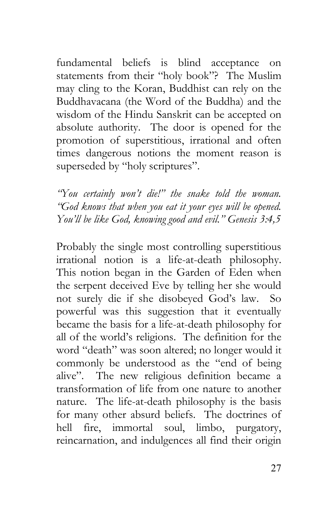fundamental beliefs is blind acceptance on statements from their "holy book"? The Muslim may cling to the Koran, Buddhist can rely on the Buddhavacana (the Word of the Buddha) and the wisdom of the Hindu Sanskrit can be accepted on absolute authority. The door is opened for the promotion of superstitious, irrational and often times dangerous notions the moment reason is superseded by "holy scriptures".

*"You certainly won't die!" the snake told the woman. "God knows that when you eat it your eyes will be opened. You'll be like God, knowing good and evil." Genesis 3:4,5*

Probably the single most controlling superstitious irrational notion is a life-at-death philosophy. This notion began in the Garden of Eden when the serpent deceived Eve by telling her she would not surely die if she disobeyed God's law. So powerful was this suggestion that it eventually became the basis for a life-at-death philosophy for all of the world's religions. The definition for the word "death" was soon altered; no longer would it commonly be understood as the "end of being alive". The new religious definition became a transformation of life from one nature to another nature. The life-at-death philosophy is the basis for many other absurd beliefs. The doctrines of hell fire, immortal soul, limbo, purgatory, reincarnation, and indulgences all find their origin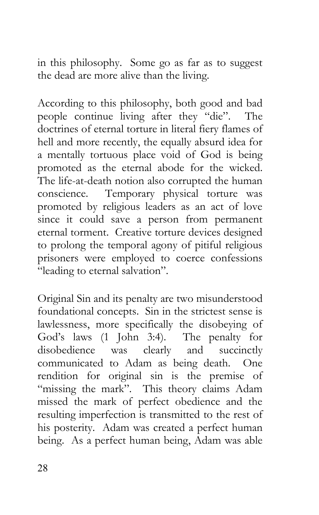in this philosophy. Some go as far as to suggest the dead are more alive than the living.

According to this philosophy, both good and bad people continue living after they "die". The doctrines of eternal torture in literal fiery flames of hell and more recently, the equally absurd idea for a mentally tortuous place void of God is being promoted as the eternal abode for the wicked. The life-at-death notion also corrupted the human conscience. Temporary physical torture was promoted by religious leaders as an act of love since it could save a person from permanent eternal torment. Creative torture devices designed to prolong the temporal agony of pitiful religious prisoners were employed to coerce confessions "leading to eternal salvation".

Original Sin and its penalty are two misunderstood foundational concepts. Sin in the strictest sense is lawlessness, more specifically the disobeying of God's laws (1 John 3:4). The penalty for disobedience was clearly and succinctly communicated to Adam as being death. One rendition for original sin is the premise of "missing the mark". This theory claims Adam missed the mark of perfect obedience and the resulting imperfection is transmitted to the rest of his posterity. Adam was created a perfect human being. As a perfect human being, Adam was able

28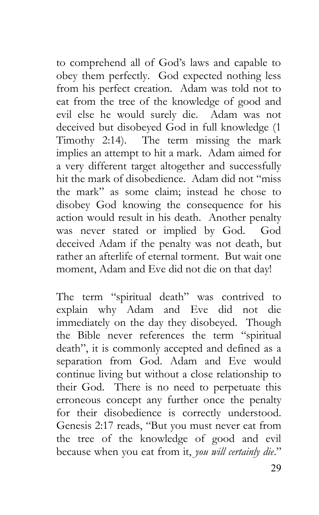to comprehend all of God's laws and capable to obey them perfectly. God expected nothing less from his perfect creation. Adam was told not to eat from the tree of the knowledge of good and evil else he would surely die. Adam was not deceived but disobeyed God in full knowledge (1 Timothy 2:14). The term missing the mark implies an attempt to hit a mark. Adam aimed for a very different target altogether and successfully hit the mark of disobedience. Adam did not "miss the mark" as some claim; instead he chose to disobey God knowing the consequence for his action would result in his death. Another penalty was never stated or implied by God. God deceived Adam if the penalty was not death, but rather an afterlife of eternal torment. But wait one moment, Adam and Eve did not die on that day!

The term "spiritual death" was contrived to explain why Adam and Eve did not die immediately on the day they disobeyed. Though the Bible never references the term "spiritual death", it is commonly accepted and defined as a separation from God. Adam and Eve would continue living but without a close relationship to their God. There is no need to perpetuate this erroneous concept any further once the penalty for their disobedience is correctly understood. Genesis 2:17 reads, "But you must never eat from the tree of the knowledge of good and evil because when you eat from it, *you will certainly die*."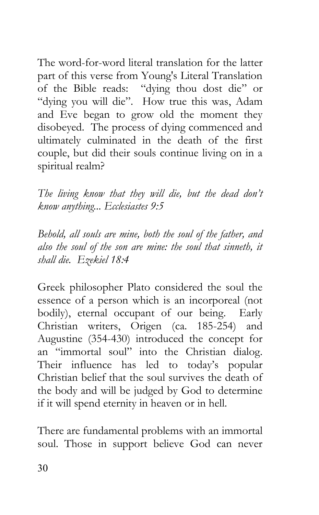The word-for-word literal translation for the latter part of this verse from Young's Literal Translation of the Bible reads: "dying thou dost die" or "dying you will die". How true this was, Adam and Eve began to grow old the moment they disobeyed. The process of dying commenced and ultimately culminated in the death of the first couple, but did their souls continue living on in a spiritual realm?

*The living know that they will die, but the dead don't know anything... Ecclesiastes 9:5* 

*Behold, all souls are mine, both the soul of the father, and also the soul of the son are mine: the soul that sinneth, it shall die. Ezekiel 18:4*

Greek philosopher Plato considered the soul the essence of a person which is an incorporeal (not bodily), eternal occupant of our being. Early Christian writers, Origen (ca. 185-254) and Augustine (354-430) introduced the concept for an "immortal soul" into the Christian dialog. Their influence has led to today's popular Christian belief that the soul survives the death of the body and will be judged by God to determine if it will spend eternity in heaven or in hell.

There are fundamental problems with an immortal soul. Those in support believe God can never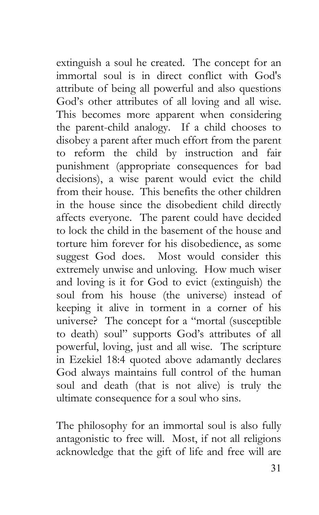extinguish a soul he created. The concept for an immortal soul is in direct conflict with God's attribute of being all powerful and also questions God's other attributes of all loving and all wise. This becomes more apparent when considering the parent-child analogy. If a child chooses to disobey a parent after much effort from the parent to reform the child by instruction and fair punishment (appropriate consequences for bad decisions), a wise parent would evict the child from their house. This benefits the other children in the house since the disobedient child directly affects everyone. The parent could have decided to lock the child in the basement of the house and torture him forever for his disobedience, as some suggest God does. Most would consider this extremely unwise and unloving. How much wiser and loving is it for God to evict (extinguish) the soul from his house (the universe) instead of keeping it alive in torment in a corner of his universe? The concept for a "mortal (susceptible to death) soul" supports God's attributes of all powerful, loving, just and all wise. The scripture in Ezekiel 18:4 quoted above adamantly declares God always maintains full control of the human soul and death (that is not alive) is truly the ultimate consequence for a soul who sins.

The philosophy for an immortal soul is also fully antagonistic to free will. Most, if not all religions acknowledge that the gift of life and free will are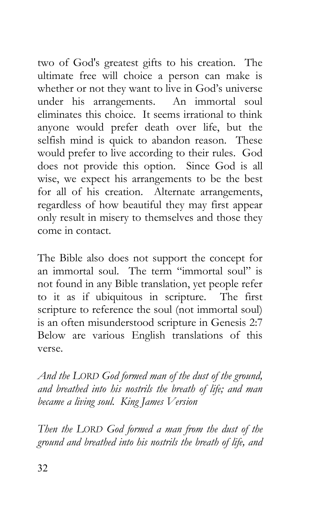two of God's greatest gifts to his creation. The ultimate free will choice a person can make is whether or not they want to live in God's universe under his arrangements. An immortal soul eliminates this choice. It seems irrational to think anyone would prefer death over life, but the selfish mind is quick to abandon reason. These would prefer to live according to their rules. God does not provide this option. Since God is all wise, we expect his arrangements to be the best for all of his creation. Alternate arrangements, regardless of how beautiful they may first appear only result in misery to themselves and those they come in contact.

The Bible also does not support the concept for an immortal soul. The term "immortal soul" is not found in any Bible translation, yet people refer to it as if ubiquitous in scripture. The first scripture to reference the soul (not immortal soul) is an often misunderstood scripture in Genesis 2:7 Below are various English translations of this verse.

*And the LORD God formed man of the dust of the ground, and breathed into his nostrils the breath of life; and man became a living soul. King James Version*

*Then the LORD God formed a man from the dust of the ground and breathed into his nostrils the breath of life, and*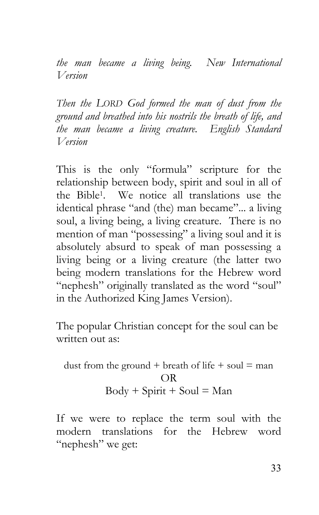*the man became a living being. New International Version*

*Then the LORD God formed the man of dust from the ground and breathed into his nostrils the breath of life, and the man became a living creature. English Standard Version*

This is the only "formula" scripture for the relationship between body, spirit and soul in all of the Bible<sup>1</sup> . We notice all translations use the identical phrase "and (the) man became"... a living soul, a living being, a living creature. There is no mention of man "possessing" a living soul and it is absolutely absurd to speak of man possessing a living being or a living creature (the latter two being modern translations for the Hebrew word "nephesh" originally translated as the word "soul" in the Authorized King James Version).

The popular Christian concept for the soul can be written out as:

dust from the ground + breath of life + soul = man OR

\n
$$
OAV + Spirit + Soul = Man
$$

If we were to replace the term soul with the modern translations for the Hebrew word "nephesh" we get: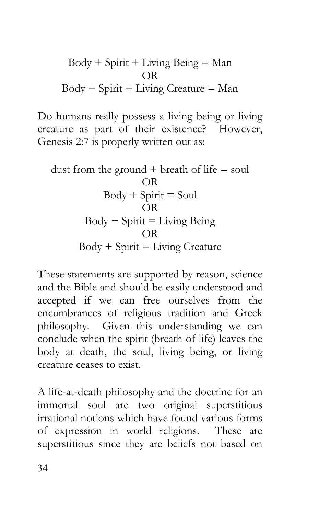Body + Spirit + Living Being = Man OR Body + Spirit + Living Creature = Man

Do humans really possess a living being or living creature as part of their existence? However, Genesis 2:7 is properly written out as:

dust from the ground  $+$  breath of life  $=$  soul OR  $Body + Spirit = Soul$ OR  $Body + Spirit = Living Being$ OR  $Body + Spirit = Living Creative$ 

These statements are supported by reason, science and the Bible and should be easily understood and accepted if we can free ourselves from the encumbrances of religious tradition and Greek philosophy. Given this understanding we can conclude when the spirit (breath of life) leaves the body at death, the soul, living being, or living creature ceases to exist.

A life-at-death philosophy and the doctrine for an immortal soul are two original superstitious irrational notions which have found various forms of expression in world religions. These are superstitious since they are beliefs not based on

34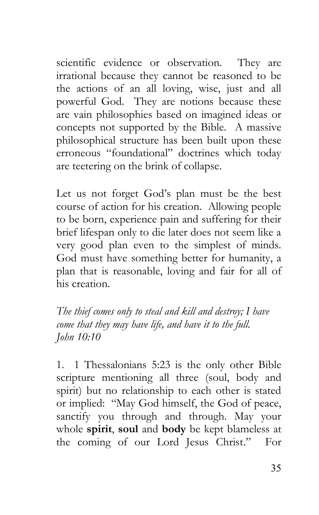scientific evidence or observation. They are irrational because they cannot be reasoned to be the actions of an all loving, wise, just and all powerful God. They are notions because these are vain philosophies based on imagined ideas or concepts not supported by the Bible. A massive philosophical structure has been built upon these erroneous "foundational" doctrines which today are teetering on the brink of collapse.

Let us not forget God's plan must be the best course of action for his creation. Allowing people to be born, experience pain and suffering for their brief lifespan only to die later does not seem like a very good plan even to the simplest of minds. God must have something better for humanity, a plan that is reasonable, loving and fair for all of his creation.

*The thief comes only to steal and kill and destroy; I have come that they may have life, and have it to the full. John 10:10*

1. 1 Thessalonians 5:23 is the only other Bible scripture mentioning all three (soul, body and spirit) but no relationship to each other is stated or implied: "May God himself, the God of peace, sanctify you through and through. May your whole **spirit**, **soul** and **body** be kept blameless at the coming of our Lord Jesus Christ." For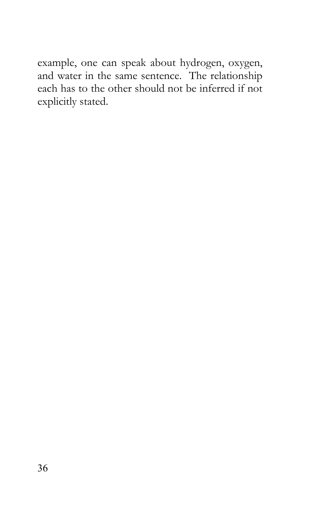example, one can speak about hydrogen, oxygen, and water in the same sentence. The relationship each has to the other should not be inferred if not explicitly stated.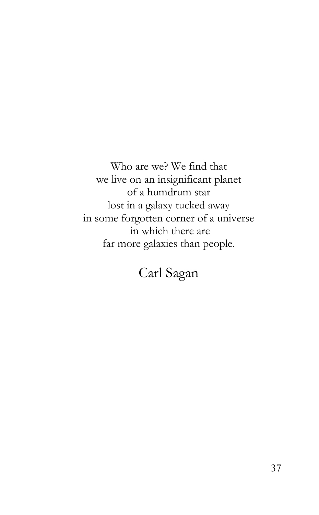Who are we? We find that we live on an insignificant planet of a humdrum star lost in a galaxy tucked away in some forgotten corner of a universe in which there are far more galaxies than people.

Carl Sagan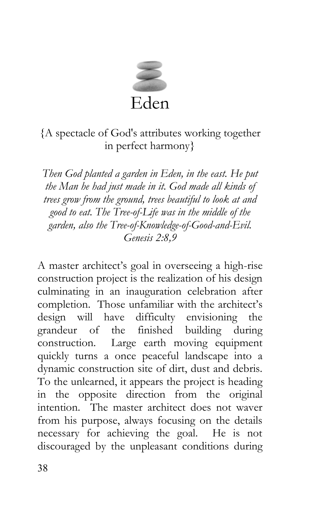

#### {A spectacle of God's attributes working together in perfect harmony}

*Then God planted a garden in Eden, in the east. He put the Man he had just made in it. God made all kinds of trees grow from the ground, trees beautiful to look at and good to eat. The Tree-of-Life was in the middle of the garden, also the Tree-of-Knowledge-of-Good-and-Evil. Genesis 2:8,9*

A master architect's goal in overseeing a high-rise construction project is the realization of his design culminating in an inauguration celebration after completion. Those unfamiliar with the architect's design will have difficulty envisioning the grandeur of the finished building during construction. Large earth moving equipment quickly turns a once peaceful landscape into a dynamic construction site of dirt, dust and debris. To the unlearned, it appears the project is heading in the opposite direction from the original intention. The master architect does not waver from his purpose, always focusing on the details necessary for achieving the goal. He is not discouraged by the unpleasant conditions during

38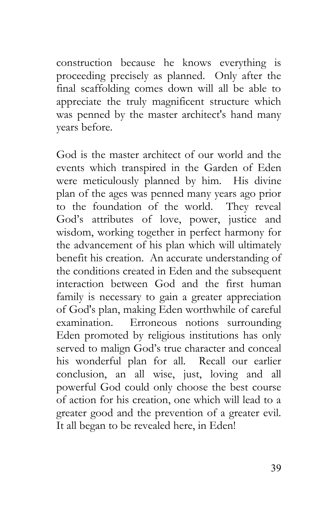construction because he knows everything is proceeding precisely as planned. Only after the final scaffolding comes down will all be able to appreciate the truly magnificent structure which was penned by the master architect's hand many years before.

God is the master architect of our world and the events which transpired in the Garden of Eden were meticulously planned by him. His divine plan of the ages was penned many years ago prior to the foundation of the world. They reveal God's attributes of love, power, justice and wisdom, working together in perfect harmony for the advancement of his plan which will ultimately benefit his creation. An accurate understanding of the conditions created in Eden and the subsequent interaction between God and the first human family is necessary to gain a greater appreciation of God's plan, making Eden worthwhile of careful examination. Erroneous notions surrounding Eden promoted by religious institutions has only served to malign God's true character and conceal his wonderful plan for all. Recall our earlier conclusion, an all wise, just, loving and all powerful God could only choose the best course of action for his creation, one which will lead to a greater good and the prevention of a greater evil. It all began to be revealed here, in Eden!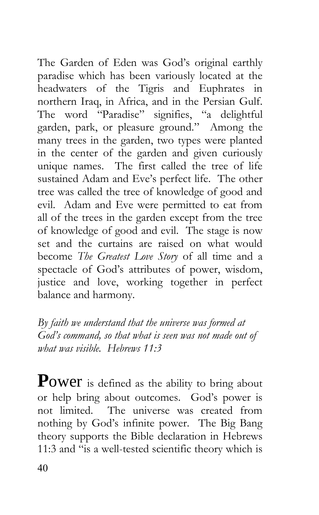The Garden of Eden was God's original earthly paradise which has been variously located at the headwaters of the Tigris and Euphrates in northern Iraq, in Africa, and in the Persian Gulf. The word "Paradise" signifies, "a delightful garden, park, or pleasure ground." Among the many trees in the garden, two types were planted in the center of the garden and given curiously unique names. The first called the tree of life sustained Adam and Eve's perfect life. The other tree was called the tree of knowledge of good and evil. Adam and Eve were permitted to eat from all of the trees in the garden except from the tree of knowledge of good and evil. The stage is now set and the curtains are raised on what would become *The Greatest Love Story* of all time and a spectacle of God's attributes of power, wisdom, justice and love, working together in perfect balance and harmony.

*By faith we understand that the universe was formed at God's command, so that what is seen was not made out of what was visible. Hebrews 11:3*

Power is defined as the ability to bring about or help bring about outcomes. God's power is not limited. The universe was created from nothing by God's infinite power. The Big Bang theory supports the Bible declaration in Hebrews 11:3 and "is a well-tested scientific theory which is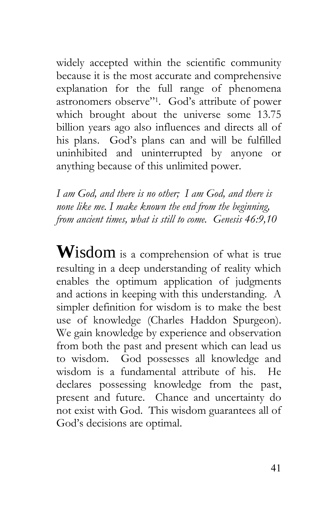widely accepted within the scientific community because it is the most accurate and comprehensive explanation for the full range of phenomena astronomers observe"<sup>1</sup> . God's attribute of power which brought about the universe some 13.75 billion years ago also influences and directs all of his plans. God's plans can and will be fulfilled uninhibited and uninterrupted by anyone or anything because of this unlimited power.

*I am God, and there is no other; I am God, and there is none like me. I make known the end from the beginning, from ancient times, what is still to come. Genesis 46:9,10* 

**W**isdom is a comprehension of what is true resulting in a deep understanding of reality which enables the optimum application of judgments and actions in keeping with this understanding. A simpler definition for wisdom is to make the best use of knowledge (Charles Haddon Spurgeon). We gain knowledge by experience and observation from both the past and present which can lead us to wisdom. God possesses all knowledge and wisdom is a fundamental attribute of his. He declares possessing knowledge from the past, present and future. Chance and uncertainty do not exist with God. This wisdom guarantees all of God's decisions are optimal.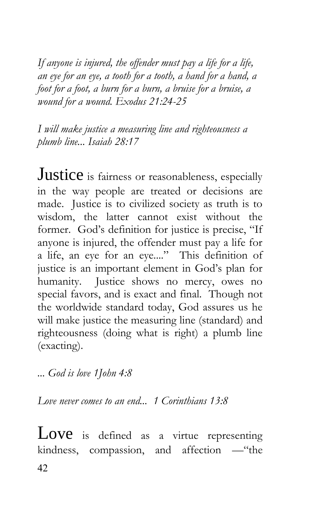*If anyone is injured, the offender must pay a life for a life, an eye for an eye, a tooth for a tooth, a hand for a hand, a foot for a foot, a burn for a burn, a bruise for a bruise, a wound for a wound. Exodus 21:24-25*

*I will make justice a measuring line and righteousness a plumb line... Isaiah 28:17*

Justice is fairness or reasonableness, especially in the way people are treated or decisions are made. Justice is to civilized society as truth is to wisdom, the latter cannot exist without the former. God's definition for justice is precise, "If anyone is injured, the offender must pay a life for a life, an eye for an eye...." This definition of justice is an important element in God's plan for humanity. Justice shows no mercy, owes no special favors, and is exact and final. Though not the worldwide standard today, God assures us he will make justice the measuring line (standard) and righteousness (doing what is right) a plumb line (exacting).

*... God is love 1John 4:8*

*Love never comes to an end... 1 Corinthians 13:8*

42 Love is defined as a virtue representing kindness, compassion, and affection —"the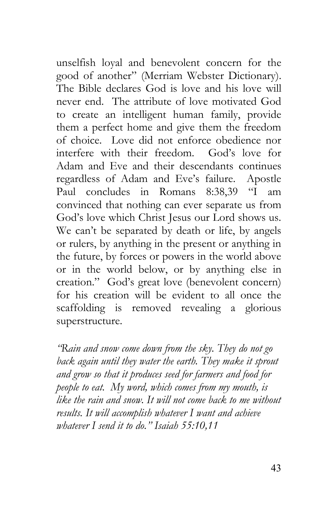unselfish loyal and benevolent concern for the good of another" (Merriam Webster Dictionary). The Bible declares God is love and his love will never end. The attribute of love motivated God to create an intelligent human family, provide them a perfect home and give them the freedom of choice. Love did not enforce obedience nor<br>interfere with their freedom God's love for interfere with their freedom Adam and Eve and their descendants continues regardless of Adam and Eve's failure. Apostle Paul concludes in Romans 8:38,39 "I am convinced that nothing can ever separate us from God's love which Christ Jesus our Lord shows us. We can't be separated by death or life, by angels or rulers, by anything in the present or anything in the future, by forces or powers in the world above or in the world below, or by anything else in creation." God's great love (benevolent concern) for his creation will be evident to all once the scaffolding is removed revealing a glorious superstructure.

*"Rain and snow come down from the sky. They do not go back again until they water the earth. They make it sprout and grow so that it produces seed for farmers and food for people to eat. My word, which comes from my mouth, is like the rain and snow. It will not come back to me without results. It will accomplish whatever I want and achieve whatever I send it to do." Isaiah 55:10,11*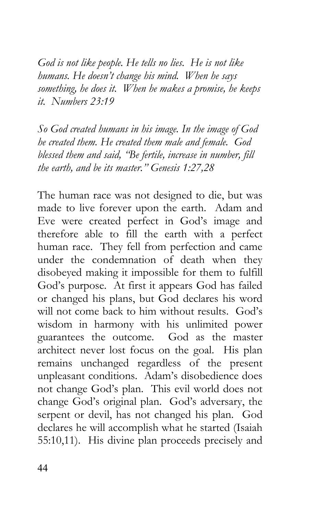*God is not like people. He tells no lies. He is not like humans. He doesn't change his mind. When he says something, he does it. When he makes a promise, he keeps it. Numbers 23:19*

*So God created humans in his image. In the image of God he created them. He created them male and female. God blessed them and said, "Be fertile, increase in number, fill the earth, and be its master." Genesis 1:27,28*

The human race was not designed to die, but was made to live forever upon the earth. Adam and Eve were created perfect in God's image and therefore able to fill the earth with a perfect human race. They fell from perfection and came under the condemnation of death when they disobeyed making it impossible for them to fulfill God's purpose. At first it appears God has failed or changed his plans, but God declares his word will not come back to him without results. God's wisdom in harmony with his unlimited power guarantees the outcome. God as the master architect never lost focus on the goal. His plan remains unchanged regardless of the present unpleasant conditions. Adam's disobedience does not change God's plan. This evil world does not change God's original plan. God's adversary, the serpent or devil, has not changed his plan. God declares he will accomplish what he started (Isaiah 55:10,11). His divine plan proceeds precisely and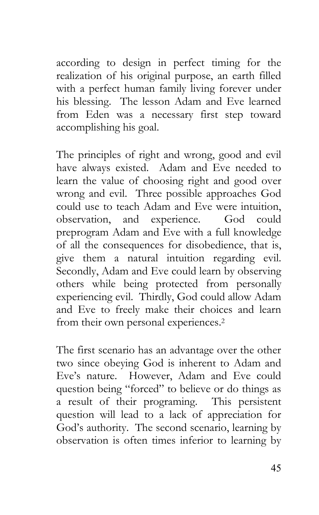according to design in perfect timing for the realization of his original purpose, an earth filled with a perfect human family living forever under his blessing. The lesson Adam and Eve learned from Eden was a necessary first step toward accomplishing his goal.

The principles of right and wrong, good and evil have always existed. Adam and Eve needed to learn the value of choosing right and good over wrong and evil. Three possible approaches God could use to teach Adam and Eve were intuition, observation, and experience. God could preprogram Adam and Eve with a full knowledge of all the consequences for disobedience, that is, give them a natural intuition regarding evil. Secondly, Adam and Eve could learn by observing others while being protected from personally experiencing evil. Thirdly, God could allow Adam and Eve to freely make their choices and learn from their own personal experiences.<sup>2</sup>

The first scenario has an advantage over the other two since obeying God is inherent to Adam and Eve's nature. However, Adam and Eve could question being "forced" to believe or do things as a result of their programing. This persistent question will lead to a lack of appreciation for God's authority. The second scenario, learning by observation is often times inferior to learning by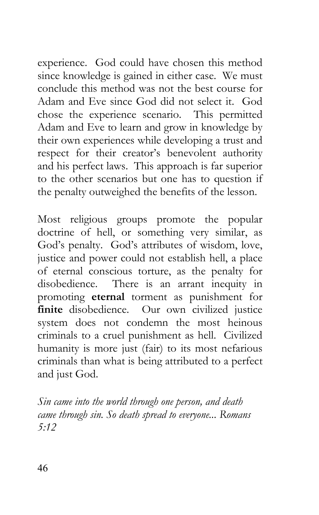experience. God could have chosen this method since knowledge is gained in either case. We must conclude this method was not the best course for Adam and Eve since God did not select it. God chose the experience scenario. This permitted Adam and Eve to learn and grow in knowledge by their own experiences while developing a trust and respect for their creator's benevolent authority and his perfect laws. This approach is far superior to the other scenarios but one has to question if the penalty outweighed the benefits of the lesson.

Most religious groups promote the popular doctrine of hell, or something very similar, as God's penalty. God's attributes of wisdom, love, justice and power could not establish hell, a place of eternal conscious torture, as the penalty for disobedience. There is an arrant inequity in promoting **eternal** torment as punishment for finite disobedience. Our own civilized justice system does not condemn the most heinous criminals to a cruel punishment as hell. Civilized humanity is more just (fair) to its most nefarious criminals than what is being attributed to a perfect and just God.

*Sin came into the world through one person, and death came through sin. So death spread to everyone... Romans 5:12*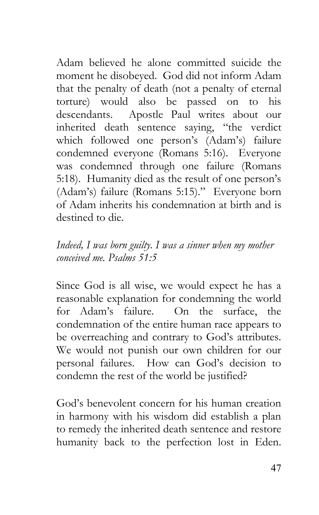Adam believed he alone committed suicide the moment he disobeyed. God did not inform Adam that the penalty of death (not a penalty of eternal torture) would also be passed on to his descendants. Apostle Paul writes about our inherited death sentence saying, "the verdict which followed one person's (Adam's) failure condemned everyone (Romans 5:16). Everyone was condemned through one failure (Romans 5:18). Humanity died as the result of one person's (Adam's) failure (Romans 5:15)." Everyone born of Adam inherits his condemnation at birth and is destined to die.

*Indeed, I was born guilty. I was a sinner when my mother conceived me. Psalms 51:5*

Since God is all wise, we would expect he has a reasonable explanation for condemning the world for Adam's failure. On the surface, the condemnation of the entire human race appears to be overreaching and contrary to God's attributes. We would not punish our own children for our personal failures. How can God's decision to condemn the rest of the world be justified?

God's benevolent concern for his human creation in harmony with his wisdom did establish a plan to remedy the inherited death sentence and restore humanity back to the perfection lost in Eden.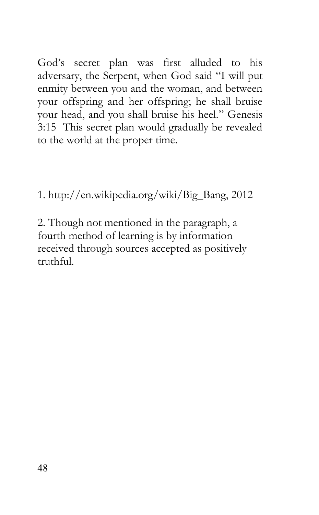God's secret plan was first alluded to his adversary, the Serpent, when God said "I will put enmity between you and the woman, and between your offspring and her offspring; he shall bruise your head, and you shall bruise his heel." Genesis 3:15 This secret plan would gradually be revealed to the world at the proper time.

1. http://en.wikipedia.org/wiki/Big\_Bang, 2012

2. Though not mentioned in the paragraph, a fourth method of learning is by information received through sources accepted as positively truthful.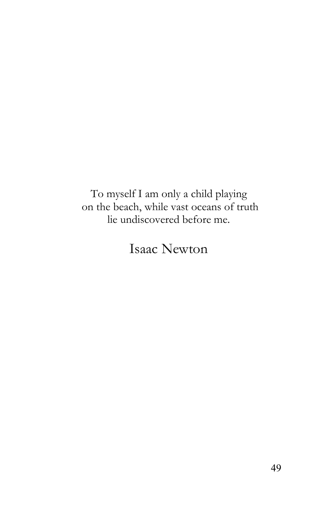To myself I am only a child playing on the beach, while vast oceans of truth lie undiscovered before me.

#### Isaac Newton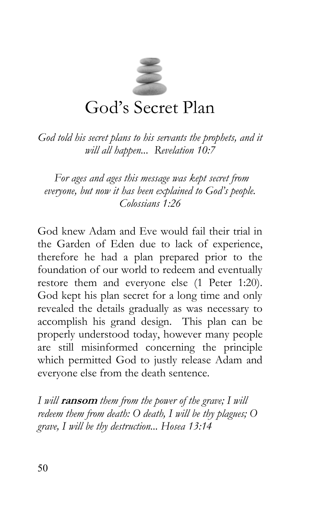

## God's Secret Plan

*God told his secret plans to his servants the prophets, and it will all happen... Revelation 10:7*

*For ages and ages this message was kept secret from everyone, but now it has been explained to God's people. Colossians 1:26*

God knew Adam and Eve would fail their trial in the Garden of Eden due to lack of experience, therefore he had a plan prepared prior to the foundation of our world to redeem and eventually restore them and everyone else (1 Peter 1:20). God kept his plan secret for a long time and only revealed the details gradually as was necessary to accomplish his grand design. This plan can be properly understood today, however many people are still misinformed concerning the principle which permitted God to justly release Adam and everyone else from the death sentence.

*I will* **ransom** *them from the power of the grave; I will redeem them from death: O death, I will be thy plagues; O grave, I will be thy destruction... Hosea 13:14*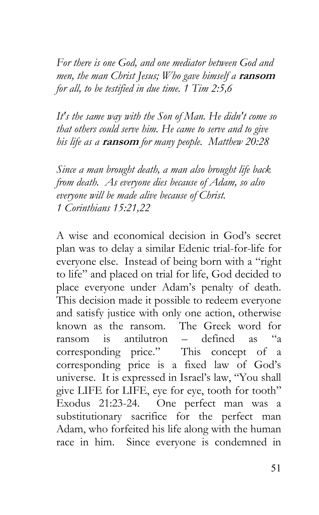*For there is one God, and one mediator between God and men, the man Christ Jesus; Who gave himself a* **ransom** *for all, to be testified in due time. 1 Tim 2:5,6*

*It's the same way with the Son of Man. He didn't come so that others could serve him. He came to serve and to give his life as a* **ransom** *for many people. Matthew 20:28*

*Since a man brought death, a man also brought life back from death. As everyone dies because of Adam, so also everyone will be made alive because of Christ. 1 Corinthians 15:21,22*

A wise and economical decision in God's secret plan was to delay a similar Edenic trial-for-life for everyone else. Instead of being born with a "right to life" and placed on trial for life, God decided to place everyone under Adam's penalty of death. This decision made it possible to redeem everyone and satisfy justice with only one action, otherwise known as the ransom. The Greek word for  $r$ ansom is antilutron  $-$  defined as corresponding price." This concept of a corresponding price is a fixed law of God's universe. It is expressed in Israel's law, "You shall give LIFE for LIFE, eye for eye, tooth for tooth" Exodus 21:23-24. One perfect man was a substitutionary sacrifice for the perfect man Adam, who forfeited his life along with the human race in him. Since everyone is condemned in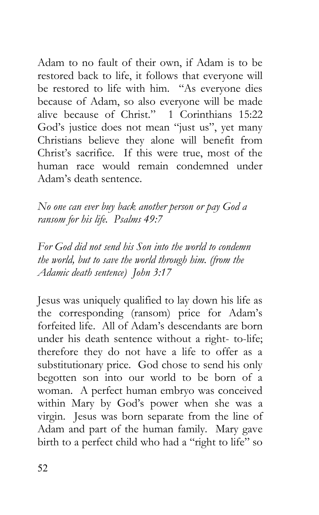Adam to no fault of their own, if Adam is to be restored back to life, it follows that everyone will be restored to life with him. "As everyone dies because of Adam, so also everyone will be made alive because of Christ." 1 Corinthians 15:22 God's justice does not mean "just us", yet many Christians believe they alone will benefit from Christ's sacrifice. If this were true, most of the human race would remain condemned under Adam's death sentence.

*No one can ever buy back another person or pay God a ransom for his life. Psalms 49:7*

*For God did not send his Son into the world to condemn the world, but to save the world through him. (from the Adamic death sentence) John 3:17*

Jesus was uniquely qualified to lay down his life as the corresponding (ransom) price for Adam's forfeited life. All of Adam's descendants are born under his death sentence without a right- to-life; therefore they do not have a life to offer as a substitutionary price. God chose to send his only begotten son into our world to be born of a woman. A perfect human embryo was conceived within Mary by God's power when she was a virgin. Jesus was born separate from the line of Adam and part of the human family. Mary gave birth to a perfect child who had a "right to life" so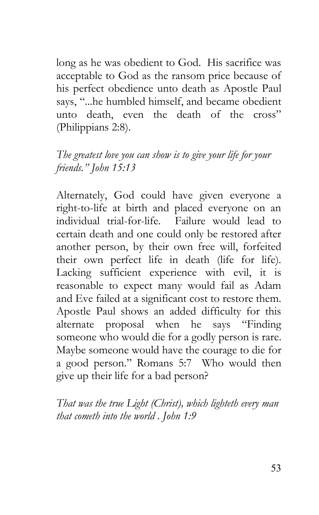long as he was obedient to God. His sacrifice was acceptable to God as the ransom price because of his perfect obedience unto death as Apostle Paul says, "...he humbled himself, and became obedient unto death, even the death of the cross" (Philippians 2:8).

*The greatest love you can show is to give your life for your friends." John 15:13* 

Alternately, God could have given everyone a right-to-life at birth and placed everyone on an individual trial-for-life. Failure would lead to certain death and one could only be restored after another person, by their own free will, forfeited their own perfect life in death (life for life). Lacking sufficient experience with evil, it is reasonable to expect many would fail as Adam and Eve failed at a significant cost to restore them. Apostle Paul shows an added difficulty for this alternate proposal when he says "Finding someone who would die for a godly person is rare. Maybe someone would have the courage to die for a good person." Romans 5:7 Who would then give up their life for a bad person?

*That was the true Light (Christ), which lighteth every man that cometh into the world . John 1:9*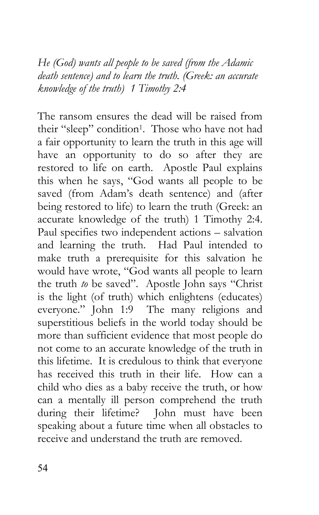*He (God) wants all people to be saved (from the Adamic death sentence) and to learn the truth. (Greek: an accurate knowledge of the truth) 1 Timothy 2:4*

The ransom ensures the dead will be raised from their "sleep" condition<sup>1</sup>. Those who have not had a fair opportunity to learn the truth in this age will have an opportunity to do so after they are restored to life on earth. Apostle Paul explains this when he says, "God wants all people to be saved (from Adam's death sentence) and (after being restored to life) to learn the truth (Greek: an accurate knowledge of the truth) 1 Timothy 2:4. Paul specifies two independent actions – salvation and learning the truth. Had Paul intended to make truth a prerequisite for this salvation he would have wrote, "God wants all people to learn the truth *to* be saved". Apostle John says "Christ is the light (of truth) which enlightens (educates) everyone." John 1:9 The many religions and superstitious beliefs in the world today should be more than sufficient evidence that most people do not come to an accurate knowledge of the truth in this lifetime. It is credulous to think that everyone has received this truth in their life. How can a child who dies as a baby receive the truth, or how can a mentally ill person comprehend the truth during their lifetime? John must have been speaking about a future time when all obstacles to receive and understand the truth are removed.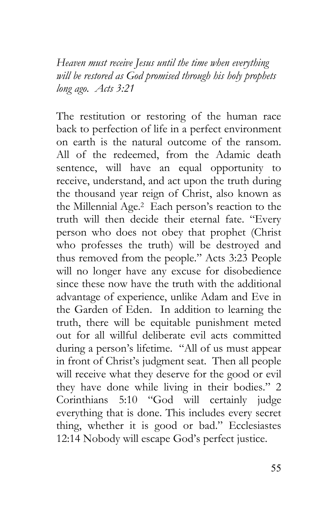*Heaven must receive Jesus until the time when everything will be restored as God promised through his holy prophets long ago. Acts 3:21*

The restitution or restoring of the human race back to perfection of life in a perfect environment on earth is the natural outcome of the ransom. All of the redeemed, from the Adamic death sentence, will have an equal opportunity to receive, understand, and act upon the truth during the thousand year reign of Christ, also known as the Millennial Age.<sup>2</sup> Each person's reaction to the truth will then decide their eternal fate. "Every person who does not obey that prophet (Christ who professes the truth) will be destroyed and thus removed from the people." Acts 3:23 People will no longer have any excuse for disobedience since these now have the truth with the additional advantage of experience, unlike Adam and Eve in the Garden of Eden. In addition to learning the truth, there will be equitable punishment meted out for all willful deliberate evil acts committed during a person's lifetime. "All of us must appear in front of Christ's judgment seat. Then all people will receive what they deserve for the good or evil they have done while living in their bodies." 2 Corinthians 5:10 "God will certainly judge everything that is done. This includes every secret thing, whether it is good or bad." Ecclesiastes 12:14 Nobody will escape God's perfect justice.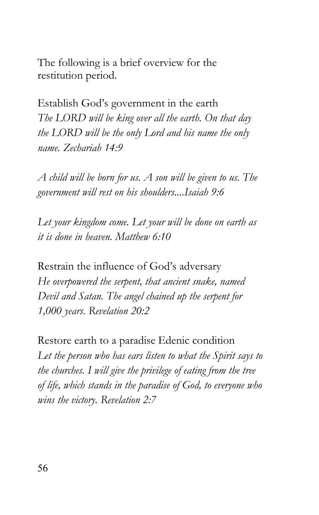The following is a brief overview for the restitution period.

Establish God's government in the earth *The LORD will be king over all the earth. On that day the LORD will be the only Lord and his name the only name. Zechariah 14:9* 

*A child will be born for us. A son will be given to us. The government will rest on his shoulders....Isaiah 9:6*

*Let your kingdom come. Let your will be done on earth as it is done in heaven. Matthew 6:10*

Restrain the influence of God's adversary *He overpowered the serpent, that ancient snake, named Devil and Satan. The angel chained up the serpent for 1,000 years. Revelation 20:2*

Restore earth to a paradise Edenic condition *Let the person who has ears listen to what the Spirit says to the churches. I will give the privilege of eating from the tree of life, which stands in the paradise of God, to everyone who wins the victory. Revelation 2:7*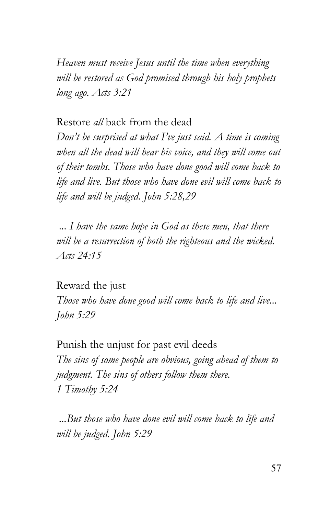*Heaven must receive Jesus until the time when everything will be restored as God promised through his holy prophets long ago. Acts 3:21*

Restore *all* back from the dead

*Don't be surprised at what I've just said. A time is coming when all the dead will hear his voice, and they will come out of their tombs. Those who have done good will come back to life and live. But those who have done evil will come back to life and will be judged. John 5:28,29*

*... I have the same hope in God as these men, that there will be a resurrection of both the righteous and the wicked. Acts 24:15*

Reward the just

*Those who have done good will come back to life and live... John 5:29*

Punish the unjust for past evil deeds *The sins of some people are obvious, going ahead of them to judgment. The sins of others follow them there. 1 Timothy 5:24*

*...But those who have done evil will come back to life and will be judged. John 5:29*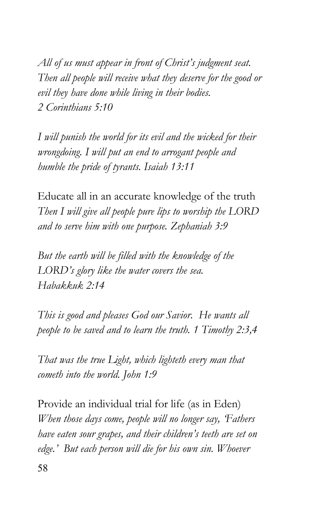*All of us must appear in front of Christ's judgment seat. Then all people will receive what they deserve for the good or evil they have done while living in their bodies. 2 Corinthians 5:10*

*I will punish the world for its evil and the wicked for their wrongdoing. I will put an end to arrogant people and humble the pride of tyrants. Isaiah 13:11*

Educate all in an accurate knowledge of the truth *Then I will give all people pure lips to worship the LORD and to serve him with one purpose. Zephaniah 3:9*

*But the earth will be filled with the knowledge of the LORD's glory like the water covers the sea. Habakkuk 2:14*

*This is good and pleases God our Savior. He wants all people to be saved and to learn the truth. 1 Timothy 2:3,4* 

*That was the true Light, which lighteth every man that cometh into the world. John 1:9*

Provide an individual trial for life (as in Eden) *When those days come, people will no longer say, 'Fathers have eaten sour grapes, and their children's teeth are set on edge.' But each person will die for his own sin. Whoever*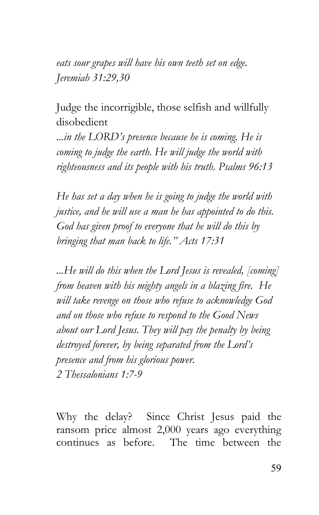*eats sour grapes will have his own teeth set on edge. Jeremiah 31:29,30*

Judge the incorrigible, those selfish and willfully disobedient

*...in the LORD's presence because he is coming. He is coming to judge the earth. He will judge the world with righteousness and its people with his truth. Psalms 96:13*

*He has set a day when he is going to judge the world with justice, and he will use a man he has appointed to do this. God has given proof to everyone that he will do this by bringing that man back to life." Acts 17:31*

*...He will do this when the Lord Jesus is revealed, [coming] from heaven with his mighty angels in a blazing fire. He will take revenge on those who refuse to acknowledge God and on those who refuse to respond to the Good News about our Lord Jesus. They will pay the penalty by being destroyed forever, by being separated from the Lord's presence and from his glorious power. 2 Thessalonians 1:7-9*

Why the delay? Since Christ Jesus paid the ransom price almost 2,000 years ago everything continues as before. The time between the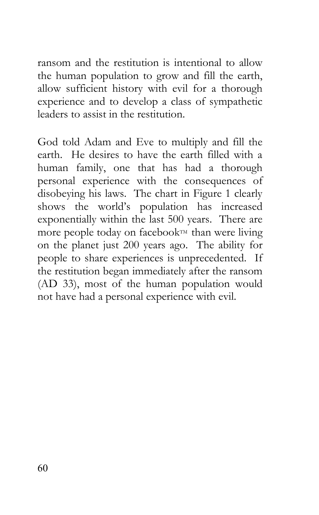ransom and the restitution is intentional to allow the human population to grow and fill the earth, allow sufficient history with evil for a thorough experience and to develop a class of sympathetic leaders to assist in the restitution.

God told Adam and Eve to multiply and fill the earth. He desires to have the earth filled with a human family, one that has had a thorough personal experience with the consequences of disobeying his laws. The chart in Figure 1 clearly shows the world's population has increased exponentially within the last 500 years. There are more people today on facebook $T_M$  than were living on the planet just 200 years ago. The ability for people to share experiences is unprecedented. If the restitution began immediately after the ransom (AD 33), most of the human population would not have had a personal experience with evil.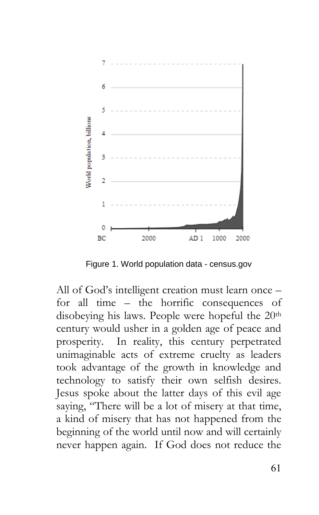

Figure 1. World population data - census.gov

All of God's intelligent creation must learn once – for all time – the horrific consequences of disobeying his laws. People were hopeful the 20<sup>th</sup> century would usher in a golden age of peace and prosperity. In reality, this century perpetrated unimaginable acts of extreme cruelty as leaders took advantage of the growth in knowledge and technology to satisfy their own selfish desires. Jesus spoke about the latter days of this evil age saying, "There will be a lot of misery at that time, a kind of misery that has not happened from the beginning of the world until now and will certainly never happen again. If God does not reduce the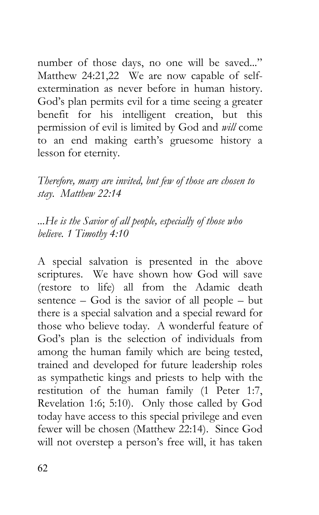number of those days, no one will be saved..." Matthew 24:21,22 We are now capable of selfextermination as never before in human history. God's plan permits evil for a time seeing a greater benefit for his intelligent creation, but this permission of evil is limited by God and *will* come to an end making earth's gruesome history a lesson for eternity.

*Therefore, many are invited, but few of those are chosen to stay. Matthew 22:14*

*...He is the Savior of all people, especially of those who believe. 1 Timothy 4:10*

A special salvation is presented in the above scriptures. We have shown how God will save (restore to life) all from the Adamic death sentence – God is the savior of all people – but there is a special salvation and a special reward for those who believe today. A wonderful feature of God's plan is the selection of individuals from among the human family which are being tested, trained and developed for future leadership roles as sympathetic kings and priests to help with the restitution of the human family (1 Peter 1:7, Revelation 1:6; 5:10). Only those called by God today have access to this special privilege and even fewer will be chosen (Matthew 22:14). Since God will not overstep a person's free will, it has taken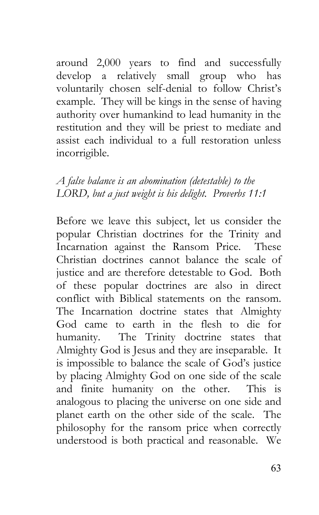around 2,000 years to find and successfully develop a relatively small group who has voluntarily chosen self-denial to follow Christ's example. They will be kings in the sense of having authority over humankind to lead humanity in the restitution and they will be priest to mediate and assist each individual to a full restoration unless incorrigible.

#### *A false balance is an abomination (detestable) to the LORD, but a just weight is his delight. Proverbs 11:1*

Before we leave this subject, let us consider the popular Christian doctrines for the Trinity and Incarnation against the Ransom Price. These Christian doctrines cannot balance the scale of justice and are therefore detestable to God. Both of these popular doctrines are also in direct conflict with Biblical statements on the ransom. The Incarnation doctrine states that Almighty God came to earth in the flesh to die for humanity. The Trinity doctrine states that Almighty God is Jesus and they are inseparable. It is impossible to balance the scale of God's justice by placing Almighty God on one side of the scale and finite humanity on the other. This is analogous to placing the universe on one side and planet earth on the other side of the scale. The philosophy for the ransom price when correctly understood is both practical and reasonable. We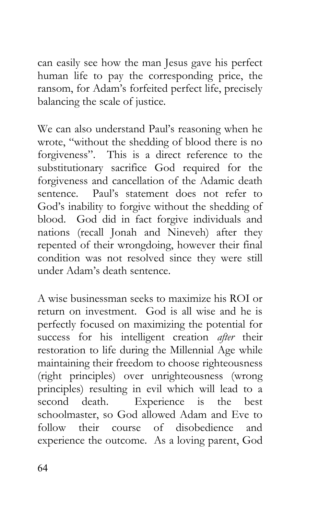can easily see how the man Jesus gave his perfect human life to pay the corresponding price, the ransom, for Adam's forfeited perfect life, precisely balancing the scale of justice.

We can also understand Paul's reasoning when he wrote, "without the shedding of blood there is no forgiveness". This is a direct reference to the substitutionary sacrifice God required for the forgiveness and cancellation of the Adamic death sentence. Paul's statement does not refer to God's inability to forgive without the shedding of blood. God did in fact forgive individuals and nations (recall Jonah and Nineveh) after they repented of their wrongdoing, however their final condition was not resolved since they were still under Adam's death sentence.

A wise businessman seeks to maximize his ROI or return on investment. God is all wise and he is perfectly focused on maximizing the potential for success for his intelligent creation *after* their restoration to life during the Millennial Age while maintaining their freedom to choose righteousness (right principles) over unrighteousness (wrong principles) resulting in evil which will lead to a second death. Experience is the best schoolmaster, so God allowed Adam and Eve to follow their course of disobedience and experience the outcome. As a loving parent, God

64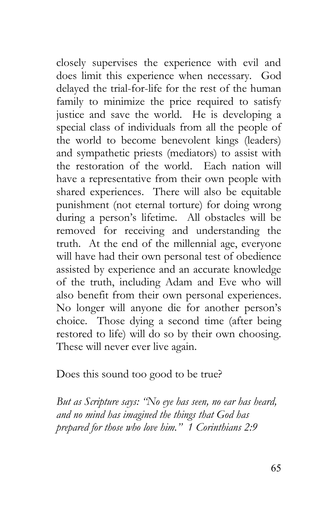closely supervises the experience with evil and does limit this experience when necessary. God delayed the trial-for-life for the rest of the human family to minimize the price required to satisfy justice and save the world. He is developing a special class of individuals from all the people of the world to become benevolent kings (leaders) and sympathetic priests (mediators) to assist with the restoration of the world. Each nation will have a representative from their own people with shared experiences. There will also be equitable punishment (not eternal torture) for doing wrong during a person's lifetime. All obstacles will be removed for receiving and understanding the truth. At the end of the millennial age, everyone will have had their own personal test of obedience assisted by experience and an accurate knowledge of the truth, including Adam and Eve who will also benefit from their own personal experiences. No longer will anyone die for another person's choice. Those dying a second time (after being restored to life) will do so by their own choosing. These will never ever live again.

Does this sound too good to be true?

*But as Scripture says: "No eye has seen, no ear has heard, and no mind has imagined the things that God has prepared for those who love him." 1 Corinthians 2:9*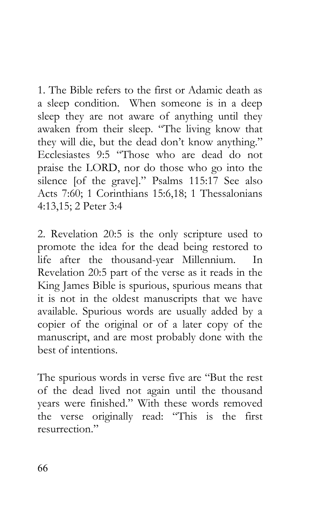1. The Bible refers to the first or Adamic death as a sleep condition. When someone is in a deep sleep they are not aware of anything until they awaken from their sleep. "The living know that they will die, but the dead don't know anything." Ecclesiastes 9:5 "Those who are dead do not praise the LORD, nor do those who go into the silence [of the grave]." Psalms 115:17 See also Acts 7:60; 1 Corinthians 15:6,18; 1 Thessalonians 4:13,15; 2 Peter 3:4

2. Revelation 20:5 is the only scripture used to promote the idea for the dead being restored to life after the thousand-year Millennium. In Revelation 20:5 part of the verse as it reads in the King James Bible is spurious, spurious means that it is not in the oldest manuscripts that we have available. Spurious words are usually added by a copier of the original or of a later copy of the manuscript, and are most probably done with the best of intentions.

The spurious words in verse five are "But the rest of the dead lived not again until the thousand years were finished." With these words removed the verse originally read: "This is the first resurrection"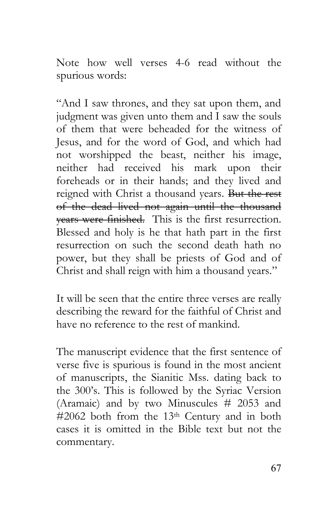Note how well verses 4-6 read without the spurious words:

"And I saw thrones, and they sat upon them, and judgment was given unto them and I saw the souls of them that were beheaded for the witness of Jesus, and for the word of God, and which had not worshipped the beast, neither his image, neither had received his mark upon their foreheads or in their hands; and they lived and reigned with Christ a thousand years. But the rest of the dead lived not again until the thousand years were finished. This is the first resurrection. Blessed and holy is he that hath part in the first resurrection on such the second death hath no power, but they shall be priests of God and of Christ and shall reign with him a thousand years."

It will be seen that the entire three verses are really describing the reward for the faithful of Christ and have no reference to the rest of mankind.

The manuscript evidence that the first sentence of verse five is spurious is found in the most ancient of manuscripts, the Sianitic Mss. dating back to the 300's. This is followed by the Syriac Version (Aramaic) and by two Minuscules # 2053 and #2062 both from the 13th Century and in both cases it is omitted in the Bible text but not the commentary.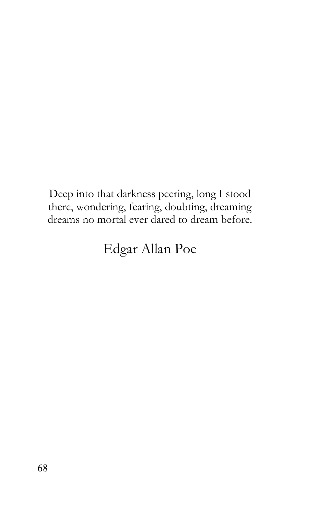Deep into that darkness peering, long I stood there, wondering, fearing, doubting, dreaming dreams no mortal ever dared to dream before.

## Edgar Allan Poe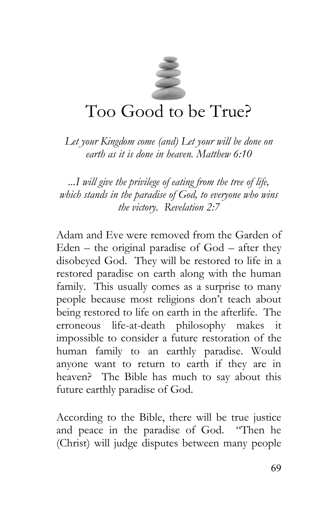

## Too Good to be True?

*Let your Kingdom come (and) Let your will be done on earth as it is done in heaven. Matthew 6:10*

*...I will give the privilege of eating from the tree of life, which stands in the paradise of God, to everyone who wins the victory. Revelation 2:7*

Adam and Eve were removed from the Garden of Eden – the original paradise of  $God$  – after they disobeyed God. They will be restored to life in a restored paradise on earth along with the human family. This usually comes as a surprise to many people because most religions don't teach about being restored to life on earth in the afterlife. The erroneous life-at-death philosophy makes it impossible to consider a future restoration of the human family to an earthly paradise. Would anyone want to return to earth if they are in heaven? The Bible has much to say about this future earthly paradise of God.

According to the Bible, there will be true justice and peace in the paradise of God. "Then he (Christ) will judge disputes between many people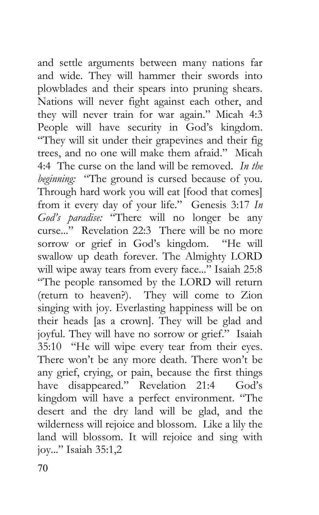and settle arguments between many nations far and wide. They will hammer their swords into plowblades and their spears into pruning shears. Nations will never fight against each other, and they will never train for war again." Micah 4:3 People will have security in God's kingdom. "They will sit under their grapevines and their fig trees, and no one will make them afraid." Micah 4:4 The curse on the land will be removed. *In the beginning:* "The ground is cursed because of you. Through hard work you will eat [food that comes] from it every day of your life." Genesis 3:17 *In God's paradise:* "There will no longer be any curse.<sup>"</sup> Revelation 22:3 There will be no more sorrow or grief in God's kingdom. "He will swallow up death forever. The Almighty LORD will wipe away tears from every face..." Isaiah 25:8 "The people ransomed by the LORD will return (return to heaven?). They will come to Zion singing with joy. Everlasting happiness will be on their heads [as a crown]. They will be glad and joyful. They will have no sorrow or grief." Isaiah 35:10 "He will wipe every tear from their eyes. There won't be any more death. There won't be any grief, crying, or pain, because the first things have disappeared." Revelation 21:4 God's kingdom will have a perfect environment. "The desert and the dry land will be glad, and the wilderness will rejoice and blossom. Like a lily the land will blossom. It will rejoice and sing with joy..." Isaiah 35:1,2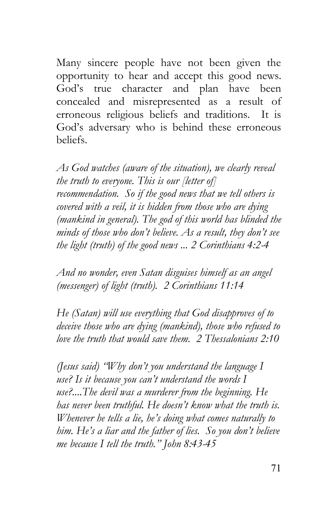Many sincere people have not been given the opportunity to hear and accept this good news. God's true character and plan have been concealed and misrepresented as a result of erroneous religious beliefs and traditions. It is God's adversary who is behind these erroneous beliefs.

*As God watches (aware of the situation), we clearly reveal the truth to everyone. This is our [letter of] recommendation. So if the good news that we tell others is covered with a veil, it is hidden from those who are dying (mankind in general). The god of this world has blinded the minds of those who don't believe. As a result, they don't see the light (truth) of the good news ... 2 Corinthians 4:2-4*

*And no wonder, even Satan disguises himself as an angel (messenger) of light (truth). 2 Corinthians 11:14*

*He (Satan) will use everything that God disapproves of to deceive those who are dying (mankind), those who refused to love the truth that would save them. 2 Thessalonians 2:10*

*(Jesus said) "Why don't you understand the language I use? Is it because you can't understand the words I use?....The devil was a murderer from the beginning. He has never been truthful. He doesn't know what the truth is. Whenever he tells a lie, he's doing what comes naturally to him. He's a liar and the father of lies. So you don't believe me because I tell the truth." John 8:43-45*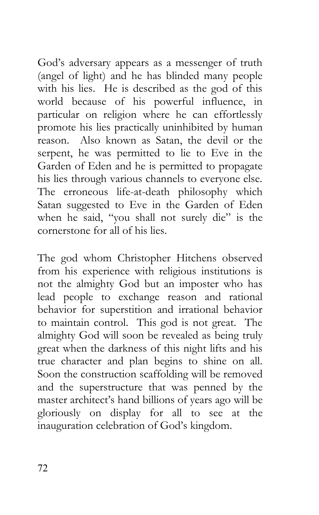God's adversary appears as a messenger of truth (angel of light) and he has blinded many people with his lies. He is described as the god of this world because of his powerful influence, in particular on religion where he can effortlessly promote his lies practically uninhibited by human reason. Also known as Satan, the devil or the serpent, he was permitted to lie to Eve in the Garden of Eden and he is permitted to propagate his lies through various channels to everyone else. The erroneous life-at-death philosophy which Satan suggested to Eve in the Garden of Eden when he said, "you shall not surely die" is the cornerstone for all of his lies.

The god whom Christopher Hitchens observed from his experience with religious institutions is not the almighty God but an imposter who has lead people to exchange reason and rational behavior for superstition and irrational behavior to maintain control. This god is not great. The almighty God will soon be revealed as being truly great when the darkness of this night lifts and his true character and plan begins to shine on all. Soon the construction scaffolding will be removed and the superstructure that was penned by the master architect's hand billions of years ago will be gloriously on display for all to see at the inauguration celebration of God's kingdom.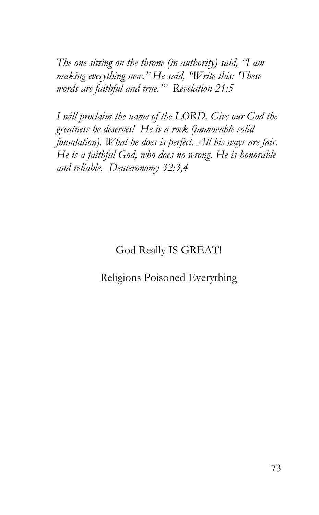*The one sitting on the throne (in authority) said, "I am making everything new." He said, "Write this: 'These words are faithful and true.'" Revelation 21:5*

*I will proclaim the name of the LORD. Give our God the greatness he deserves! He is a rock (immovable solid foundation). What he does is perfect. All his ways are fair. He is a faithful God, who does no wrong. He is honorable and reliable. Deuteronomy 32:3,4*

#### God Really IS GREAT!

#### Religions Poisoned Everything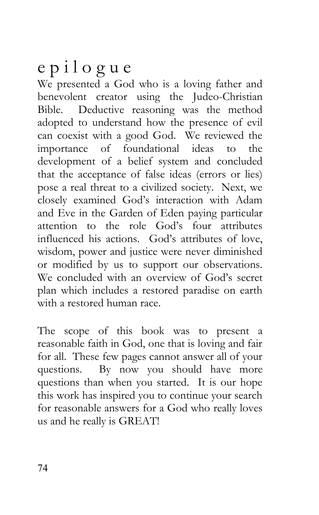## e p i l o g u e

We presented a God who is a loving father and benevolent creator using the Judeo-Christian Bible. Deductive reasoning was the method adopted to understand how the presence of evil can coexist with a good God. We reviewed the importance of foundational ideas to the development of a belief system and concluded that the acceptance of false ideas (errors or lies) pose a real threat to a civilized society. Next, we closely examined God's interaction with Adam and Eve in the Garden of Eden paying particular attention to the role God's four attributes influenced his actions. God's attributes of love, wisdom, power and justice were never diminished or modified by us to support our observations. We concluded with an overview of God's secret plan which includes a restored paradise on earth with a restored human race.

The scope of this book was to present a reasonable faith in God, one that is loving and fair for all. These few pages cannot answer all of your questions. By now you should have more questions than when you started. It is our hope this work has inspired you to continue your search for reasonable answers for a God who really loves us and he really is GREAT!